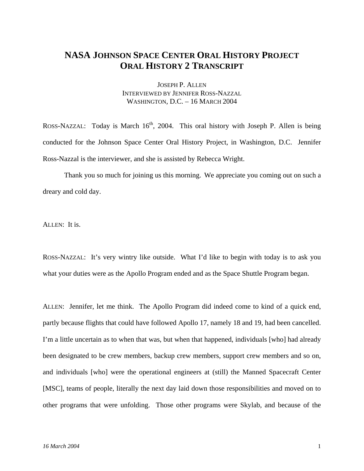## **NASA JOHNSON SPACE CENTER ORAL HISTORY PROJECT ORAL HISTORY 2 TRANSCRIPT**

JOSEPH P. ALLEN INTERVIEWED BY JENNIFER ROSS-NAZZAL WASHINGTON, D.C. – 16 MARCH 2004

ROSS-NAZZAL: Today is March  $16<sup>th</sup>$ , 2004. This oral history with Joseph P. Allen is being conducted for the Johnson Space Center Oral History Project, in Washington, D.C. Jennifer Ross-Nazzal is the interviewer, and she is assisted by Rebecca Wright.

 Thank you so much for joining us this morning. We appreciate you coming out on such a dreary and cold day.

ALLEN: It is.

ROSS-NAZZAL: It's very wintry like outside. What I'd like to begin with today is to ask you what your duties were as the Apollo Program ended and as the Space Shuttle Program began.

ALLEN: Jennifer, let me think. The Apollo Program did indeed come to kind of a quick end, partly because flights that could have followed Apollo 17, namely 18 and 19, had been cancelled. I'm a little uncertain as to when that was, but when that happened, individuals [who] had already been designated to be crew members, backup crew members, support crew members and so on, and individuals [who] were the operational engineers at (still) the Manned Spacecraft Center [MSC], teams of people, literally the next day laid down those responsibilities and moved on to other programs that were unfolding. Those other programs were Skylab, and because of the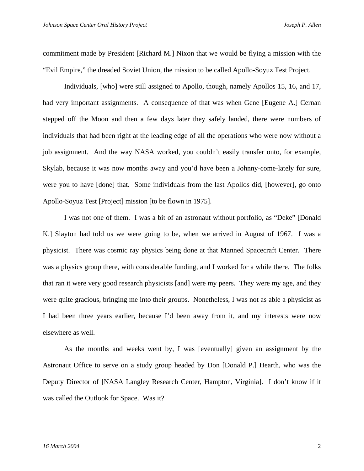commitment made by President [Richard M.] Nixon that we would be flying a mission with the "Evil Empire," the dreaded Soviet Union, the mission to be called Apollo-Soyuz Test Project.

 Individuals, [who] were still assigned to Apollo, though, namely Apollos 15, 16, and 17, had very important assignments. A consequence of that was when Gene [Eugene A.] Cernan stepped off the Moon and then a few days later they safely landed, there were numbers of individuals that had been right at the leading edge of all the operations who were now without a job assignment. And the way NASA worked, you couldn't easily transfer onto, for example, Skylab, because it was now months away and you'd have been a Johnny-come-lately for sure, were you to have [done] that. Some individuals from the last Apollos did, [however], go onto Apollo-Soyuz Test [Project] mission [to be flown in 1975].

 I was not one of them. I was a bit of an astronaut without portfolio, as "Deke" [Donald K.] Slayton had told us we were going to be, when we arrived in August of 1967. I was a physicist. There was cosmic ray physics being done at that Manned Spacecraft Center. There was a physics group there, with considerable funding, and I worked for a while there. The folks that ran it were very good research physicists [and] were my peers. They were my age, and they were quite gracious, bringing me into their groups. Nonetheless, I was not as able a physicist as I had been three years earlier, because I'd been away from it, and my interests were now elsewhere as well.

 As the months and weeks went by, I was [eventually] given an assignment by the Astronaut Office to serve on a study group headed by Don [Donald P.] Hearth, who was the Deputy Director of [NASA Langley Research Center, Hampton, Virginia]. I don't know if it was called the Outlook for Space. Was it?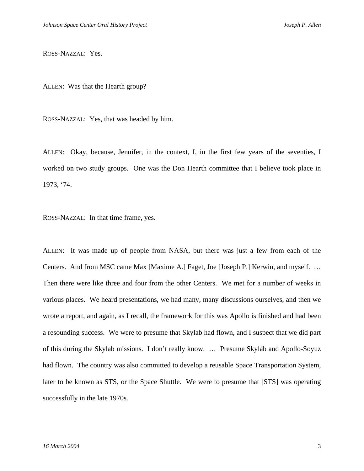ROSS-NAZZAL: Yes.

ALLEN: Was that the Hearth group?

ROSS-NAZZAL: Yes, that was headed by him.

ALLEN: Okay, because, Jennifer, in the context, I, in the first few years of the seventies, I worked on two study groups. One was the Don Hearth committee that I believe took place in 1973, '74.

ROSS-NAZZAL: In that time frame, yes.

ALLEN: It was made up of people from NASA, but there was just a few from each of the Centers. And from MSC came Max [Maxime A.] Faget, Joe [Joseph P.] Kerwin, and myself. … Then there were like three and four from the other Centers. We met for a number of weeks in various places. We heard presentations, we had many, many discussions ourselves, and then we wrote a report, and again, as I recall, the framework for this was Apollo is finished and had been a resounding success. We were to presume that Skylab had flown, and I suspect that we did part of this during the Skylab missions. I don't really know. … Presume Skylab and Apollo-Soyuz had flown. The country was also committed to develop a reusable Space Transportation System, later to be known as STS, or the Space Shuttle. We were to presume that [STS] was operating successfully in the late 1970s.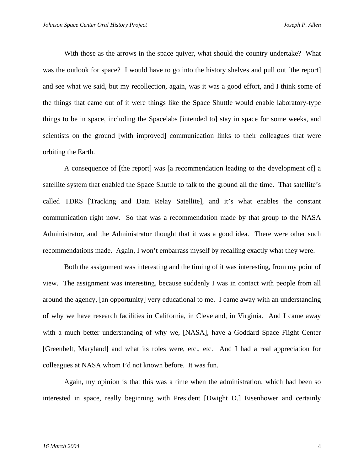With those as the arrows in the space quiver, what should the country undertake? What was the outlook for space? I would have to go into the history shelves and pull out [the report] and see what we said, but my recollection, again, was it was a good effort, and I think some of the things that came out of it were things like the Space Shuttle would enable laboratory-type things to be in space, including the Spacelabs [intended to] stay in space for some weeks, and scientists on the ground [with improved] communication links to their colleagues that were orbiting the Earth.

A consequence of [the report] was [a recommendation leading to the development of] a satellite system that enabled the Space Shuttle to talk to the ground all the time. That satellite's called TDRS [Tracking and Data Relay Satellite], and it's what enables the constant communication right now. So that was a recommendation made by that group to the NASA Administrator, and the Administrator thought that it was a good idea. There were other such recommendations made. Again, I won't embarrass myself by recalling exactly what they were.

Both the assignment was interesting and the timing of it was interesting, from my point of view. The assignment was interesting, because suddenly I was in contact with people from all around the agency, [an opportunity] very educational to me. I came away with an understanding of why we have research facilities in California, in Cleveland, in Virginia. And I came away with a much better understanding of why we, [NASA], have a Goddard Space Flight Center [Greenbelt, Maryland] and what its roles were, etc., etc. And I had a real appreciation for colleagues at NASA whom I'd not known before. It was fun.

Again, my opinion is that this was a time when the administration, which had been so interested in space, really beginning with President [Dwight D.] Eisenhower and certainly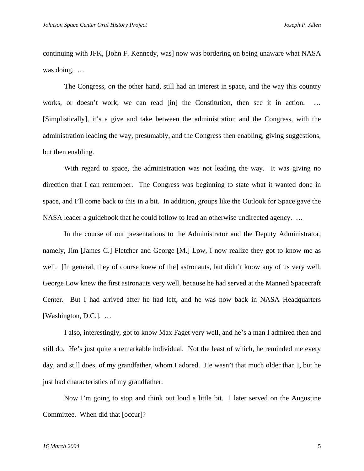continuing with JFK, [John F. Kennedy, was] now was bordering on being unaware what NASA was doing. …

The Congress, on the other hand, still had an interest in space, and the way this country works, or doesn't work; we can read [in] the Constitution, then see it in action. [Simplistically], it's a give and take between the administration and the Congress, with the administration leading the way, presumably, and the Congress then enabling, giving suggestions, but then enabling.

With regard to space, the administration was not leading the way. It was giving no direction that I can remember. The Congress was beginning to state what it wanted done in space, and I'll come back to this in a bit. In addition, groups like the Outlook for Space gave the NASA leader a guidebook that he could follow to lead an otherwise undirected agency. …

In the course of our presentations to the Administrator and the Deputy Administrator, namely, Jim [James C.] Fletcher and George [M.] Low, I now realize they got to know me as well. [In general, they of course knew of the] astronauts, but didn't know any of us very well. George Low knew the first astronauts very well, because he had served at the Manned Spacecraft Center. But I had arrived after he had left, and he was now back in NASA Headquarters [Washington, D.C.]. …

I also, interestingly, got to know Max Faget very well, and he's a man I admired then and still do. He's just quite a remarkable individual. Not the least of which, he reminded me every day, and still does, of my grandfather, whom I adored. He wasn't that much older than I, but he just had characteristics of my grandfather.

Now I'm going to stop and think out loud a little bit. I later served on the Augustine Committee. When did that [occur]?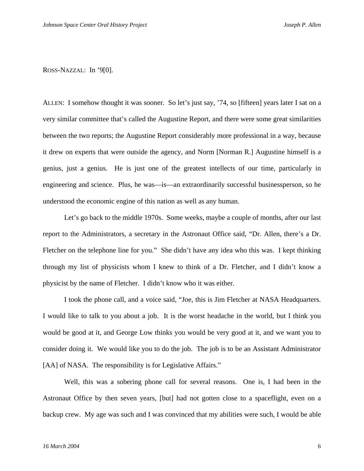ROSS-NAZZAL: In '9[0].

ALLEN: I somehow thought it was sooner. So let's just say, '74, so [fifteen] years later I sat on a very similar committee that's called the Augustine Report, and there were some great similarities between the two reports; the Augustine Report considerably more professional in a way, because it drew on experts that were outside the agency, and Norm [Norman R.] Augustine himself is a genius, just a genius. He is just one of the greatest intellects of our time, particularly in engineering and science. Plus, he was—is—an extraordinarily successful businessperson, so he understood the economic engine of this nation as well as any human.

 Let's go back to the middle 1970s. Some weeks, maybe a couple of months, after our last report to the Administrators, a secretary in the Astronaut Office said, "Dr. Allen, there's a Dr. Fletcher on the telephone line for you." She didn't have any idea who this was. I kept thinking through my list of physicists whom I knew to think of a Dr. Fletcher, and I didn't know a physicist by the name of Fletcher. I didn't know who it was either.

I took the phone call, and a voice said, "Joe, this is Jim Fletcher at NASA Headquarters. I would like to talk to you about a job. It is the worst headache in the world, but I think you would be good at it, and George Low thinks you would be very good at it, and we want you to consider doing it. We would like you to do the job. The job is to be an Assistant Administrator [AA] of NASA. The responsibility is for Legislative Affairs."

Well, this was a sobering phone call for several reasons. One is, I had been in the Astronaut Office by then seven years, [but] had not gotten close to a spaceflight, even on a backup crew. My age was such and I was convinced that my abilities were such, I would be able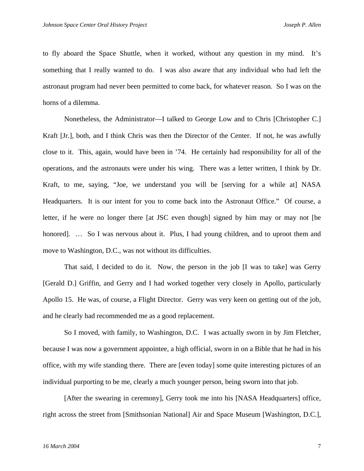to fly aboard the Space Shuttle, when it worked, without any question in my mind. It's something that I really wanted to do. I was also aware that any individual who had left the astronaut program had never been permitted to come back, for whatever reason. So I was on the horns of a dilemma.

Nonetheless, the Administrator—I talked to George Low and to Chris [Christopher C.] Kraft [Jr.], both, and I think Chris was then the Director of the Center. If not, he was awfully close to it. This, again, would have been in '74. He certainly had responsibility for all of the operations, and the astronauts were under his wing. There was a letter written, I think by Dr. Kraft, to me, saying, "Joe, we understand you will be [serving for a while at] NASA Headquarters. It is our intent for you to come back into the Astronaut Office." Of course, a letter, if he were no longer there [at JSC even though] signed by him may or may not [be honored]. ... So I was nervous about it. Plus, I had young children, and to uproot them and move to Washington, D.C., was not without its difficulties.

That said, I decided to do it. Now, the person in the job [I was to take] was Gerry [Gerald D.] Griffin, and Gerry and I had worked together very closely in Apollo, particularly Apollo 15. He was, of course, a Flight Director. Gerry was very keen on getting out of the job, and he clearly had recommended me as a good replacement.

So I moved, with family, to Washington, D.C. I was actually sworn in by Jim Fletcher, because I was now a government appointee, a high official, sworn in on a Bible that he had in his office, with my wife standing there. There are [even today] some quite interesting pictures of an individual purporting to be me, clearly a much younger person, being sworn into that job.

[After the swearing in ceremony], Gerry took me into his [NASA Headquarters] office, right across the street from [Smithsonian National] Air and Space Museum [Washington, D.C.],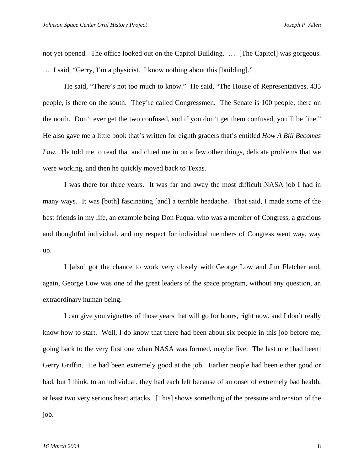not yet opened. The office looked out on the Capitol Building. … [The Capitol] was gorgeous. … I said, "Gerry, I'm a physicist. I know nothing about this [building]."

He said, "There's not too much to know." He said, "The House of Representatives, 435 people, is there on the south. They're called Congressmen. The Senate is 100 people, there on the north. Don't ever get the two confused, and if you don't get them confused, you'll be fine." He also gave me a little book that's written for eighth graders that's entitled *How A Bill Becomes Law.* He told me to read that and clued me in on a few other things, delicate problems that we were working, and then he quickly moved back to Texas.

I was there for three years. It was far and away the most difficult NASA job I had in many ways. It was [both] fascinating [and] a terrible headache. That said, I made some of the best friends in my life, an example being Don Fuqua, who was a member of Congress, a gracious and thoughtful individual, and my respect for individual members of Congress went way, way up.

I [also] got the chance to work very closely with George Low and Jim Fletcher and, again, George Low was one of the great leaders of the space program, without any question, an extraordinary human being.

I can give you vignettes of those years that will go for hours, right now, and I don't really know how to start. Well, I do know that there had been about six people in this job before me, going back to the very first one when NASA was formed, maybe five. The last one [had been] Gerry Griffin. He had been extremely good at the job. Earlier people had been either good or bad, but I think, to an individual, they had each left because of an onset of extremely bad health, at least two very serious heart attacks. [This] shows something of the pressure and tension of the job.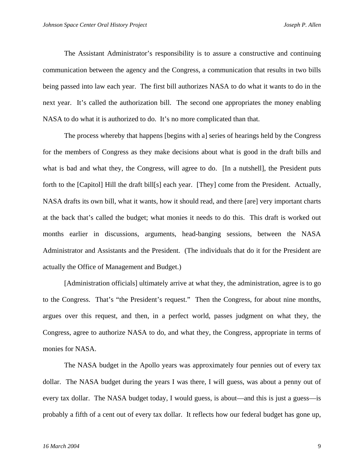The Assistant Administrator's responsibility is to assure a constructive and continuing communication between the agency and the Congress, a communication that results in two bills being passed into law each year. The first bill authorizes NASA to do what it wants to do in the next year. It's called the authorization bill. The second one appropriates the money enabling NASA to do what it is authorized to do. It's no more complicated than that.

The process whereby that happens [begins with a] series of hearings held by the Congress for the members of Congress as they make decisions about what is good in the draft bills and what is bad and what they, the Congress, will agree to do. [In a nutshell], the President puts forth to the [Capitol] Hill the draft bill[s] each year. [They] come from the President. Actually, NASA drafts its own bill, what it wants, how it should read, and there [are] very important charts at the back that's called the budget; what monies it needs to do this. This draft is worked out months earlier in discussions, arguments, head-banging sessions, between the NASA Administrator and Assistants and the President. (The individuals that do it for the President are actually the Office of Management and Budget.)

[Administration officials] ultimately arrive at what they, the administration, agree is to go to the Congress. That's "the President's request." Then the Congress, for about nine months, argues over this request, and then, in a perfect world, passes judgment on what they, the Congress, agree to authorize NASA to do, and what they, the Congress, appropriate in terms of monies for NASA.

The NASA budget in the Apollo years was approximately four pennies out of every tax dollar. The NASA budget during the years I was there, I will guess, was about a penny out of every tax dollar. The NASA budget today, I would guess, is about—and this is just a guess—is probably a fifth of a cent out of every tax dollar. It reflects how our federal budget has gone up,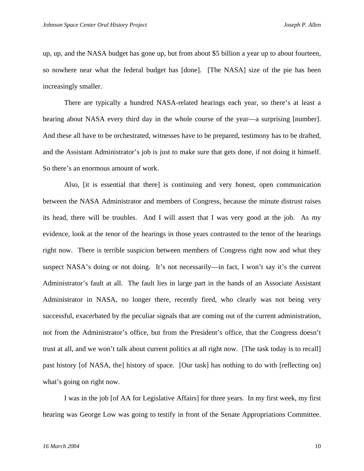up, up, and the NASA budget has gone up, but from about \$5 billion a year up to about fourteen, so nowhere near what the federal budget has [done]. [The NASA] size of the pie has been increasingly smaller.

There are typically a hundred NASA-related hearings each year, so there's at least a hearing about NASA every third day in the whole course of the year—a surprising [number]. And these all have to be orchestrated, witnesses have to be prepared, testimony has to be drafted, and the Assistant Administrator's job is just to make sure that gets done, if not doing it himself. So there's an enormous amount of work.

Also, [it is essential that there] is continuing and very honest, open communication between the NASA Administrator and members of Congress, because the minute distrust raises its head, there will be troubles. And I will assert that I was very good at the job. As my evidence, look at the tenor of the hearings in those years contrasted to the tenor of the hearings right now. There is terrible suspicion between members of Congress right now and what they suspect NASA's doing or not doing. It's not necessarily—in fact, I won't say it's the current Administrator's fault at all. The fault lies in large part in the hands of an Associate Assistant Administrator in NASA, no longer there, recently fired, who clearly was not being very successful, exacerbated by the peculiar signals that are coming out of the current administration, not from the Administrator's office, but from the President's office, that the Congress doesn't trust at all, and we won't talk about current politics at all right now. [The task today is to recall] past history [of NASA, the] history of space. [Our task] has nothing to do with [reflecting on] what's going on right now.

I was in the job [of AA for Legislative Affairs] for three years. In my first week, my first hearing was George Low was going to testify in front of the Senate Appropriations Committee.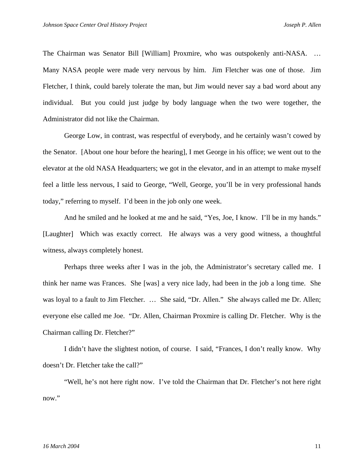The Chairman was Senator Bill [William] Proxmire, who was outspokenly anti-NASA. … Many NASA people were made very nervous by him. Jim Fletcher was one of those. Jim Fletcher, I think, could barely tolerate the man, but Jim would never say a bad word about any individual. But you could just judge by body language when the two were together, the Administrator did not like the Chairman.

George Low, in contrast, was respectful of everybody, and he certainly wasn't cowed by the Senator. [About one hour before the hearing], I met George in his office; we went out to the elevator at the old NASA Headquarters; we got in the elevator, and in an attempt to make myself feel a little less nervous, I said to George, "Well, George, you'll be in very professional hands today," referring to myself. I'd been in the job only one week.

And he smiled and he looked at me and he said, "Yes, Joe, I know. I'll be in my hands." [Laughter] Which was exactly correct. He always was a very good witness, a thoughtful witness, always completely honest.

Perhaps three weeks after I was in the job, the Administrator's secretary called me. I think her name was Frances. She [was] a very nice lady, had been in the job a long time. She was loyal to a fault to Jim Fletcher. ... She said, "Dr. Allen." She always called me Dr. Allen; everyone else called me Joe. "Dr. Allen, Chairman Proxmire is calling Dr. Fletcher. Why is the Chairman calling Dr. Fletcher?"

I didn't have the slightest notion, of course. I said, "Frances, I don't really know. Why doesn't Dr. Fletcher take the call?"

"Well, he's not here right now. I've told the Chairman that Dr. Fletcher's not here right now."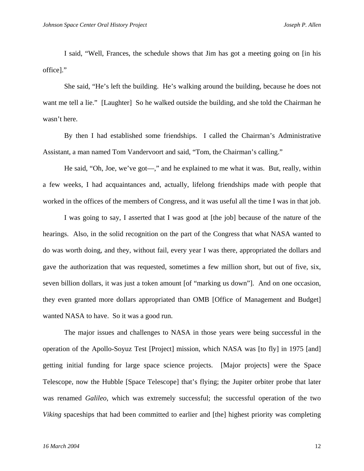I said, "Well, Frances, the schedule shows that Jim has got a meeting going on [in his office]."

She said, "He's left the building. He's walking around the building, because he does not want me tell a lie." [Laughter] So he walked outside the building, and she told the Chairman he wasn't here.

By then I had established some friendships. I called the Chairman's Administrative Assistant, a man named Tom Vandervoort and said, "Tom, the Chairman's calling."

He said, "Oh, Joe, we've got—," and he explained to me what it was. But, really, within a few weeks, I had acquaintances and, actually, lifelong friendships made with people that worked in the offices of the members of Congress, and it was useful all the time I was in that job.

I was going to say, I asserted that I was good at [the job] because of the nature of the hearings. Also, in the solid recognition on the part of the Congress that what NASA wanted to do was worth doing, and they, without fail, every year I was there, appropriated the dollars and gave the authorization that was requested, sometimes a few million short, but out of five, six, seven billion dollars, it was just a token amount [of "marking us down"]. And on one occasion, they even granted more dollars appropriated than OMB [Office of Management and Budget] wanted NASA to have. So it was a good run.

The major issues and challenges to NASA in those years were being successful in the operation of the Apollo-Soyuz Test [Project] mission, which NASA was [to fly] in 1975 [and] getting initial funding for large space science projects. [Major projects] were the Space Telescope, now the Hubble [Space Telescope] that's flying; the Jupiter orbiter probe that later was renamed *Galileo*, which was extremely successful; the successful operation of the two *Viking* spaceships that had been committed to earlier and [the] highest priority was completing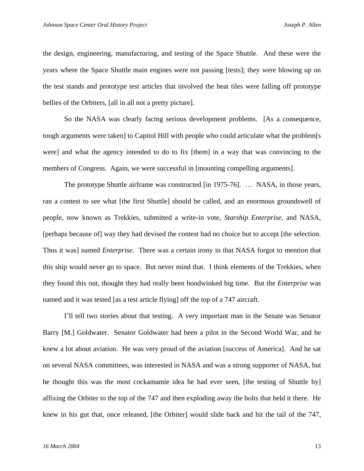the design, engineering, manufacturing, and testing of the Space Shuttle. And these were the years where the Space Shuttle main engines were not passing [tests]; they were blowing up on the test stands and prototype test articles that involved the heat tiles were falling off prototype bellies of the Orbiters, [all in all not a pretty picture].

So the NASA was clearly facing serious development problems. [As a consequence, tough arguments were taken] to Capitol Hill with people who could articulate what the problem[s were] and what the agency intended to do to fix [them] in a way that was convincing to the members of Congress. Again, we were successful in [mounting compelling arguments].

The prototype Shuttle airframe was constructed [in 1975-76]. ... NASA, in those years, ran a contest to see what [the first Shuttle] should be called, and an enormous groundswell of people, now known as Trekkies, submitted a write-in vote, *Starship Enterprise*, and NASA, [perhaps because of] way they had devised the contest had no choice but to accept [the selection. Thus it was] named *Enterprise.* There was a certain irony in that NASA forgot to mention that this ship would never go to space. But never mind that. I think elements of the Trekkies, when they found this out, thought they had really been hoodwinked big time. But the *Enterprise* was named and it was tested [as a test article flying] off the top of a 747 aircraft.

I'll tell two stories about that testing. A very important man in the Senate was Senator Barry [M.] Goldwater. Senator Goldwater had been a pilot in the Second World War, and he knew a lot about aviation. He was very proud of the aviation [success of America]. And he sat on several NASA committees, was interested in NASA and was a strong supporter of NASA, but he thought this was the most cockamamie idea he had ever seen, [the testing of Shuttle by] affixing the Orbiter to the top of the 747 and then exploding away the bolts that held it there. He knew in his gut that, once released, [the Orbiter] would slide back and hit the tail of the 747,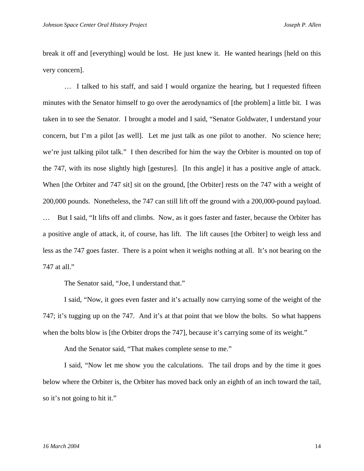break it off and [everything] would be lost. He just knew it. He wanted hearings [held on this very concern].

… I talked to his staff, and said I would organize the hearing, but I requested fifteen minutes with the Senator himself to go over the aerodynamics of [the problem] a little bit. I was taken in to see the Senator. I brought a model and I said, "Senator Goldwater, I understand your concern, but I'm a pilot [as well]. Let me just talk as one pilot to another. No science here; we're just talking pilot talk." I then described for him the way the Orbiter is mounted on top of the 747, with its nose slightly high [gestures]. [In this angle] it has a positive angle of attack. When [the Orbiter and 747 sit] sit on the ground, [the Orbiter] rests on the 747 with a weight of 200,000 pounds. Nonetheless, the 747 can still lift off the ground with a 200,000-pound payload. But I said, "It lifts off and climbs. Now, as it goes faster and faster, because the Orbiter has a positive angle of attack, it, of course, has lift. The lift causes [the Orbiter] to weigh less and less as the 747 goes faster. There is a point when it weighs nothing at all. It's not bearing on the 747 at all."

The Senator said, "Joe, I understand that."

I said, "Now, it goes even faster and it's actually now carrying some of the weight of the 747; it's tugging up on the 747. And it's at that point that we blow the bolts. So what happens when the bolts blow is [the Orbiter drops the 747], because it's carrying some of its weight."

And the Senator said, "That makes complete sense to me."

I said, "Now let me show you the calculations. The tail drops and by the time it goes below where the Orbiter is, the Orbiter has moved back only an eighth of an inch toward the tail, so it's not going to hit it."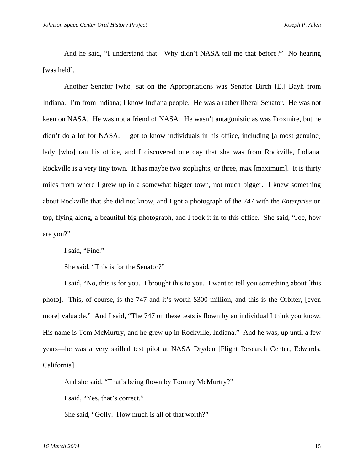And he said, "I understand that. Why didn't NASA tell me that before?" No hearing [was held].

Another Senator [who] sat on the Appropriations was Senator Birch [E.] Bayh from Indiana. I'm from Indiana; I know Indiana people. He was a rather liberal Senator. He was not keen on NASA. He was not a friend of NASA. He wasn't antagonistic as was Proxmire, but he didn't do a lot for NASA. I got to know individuals in his office, including [a most genuine] lady [who] ran his office, and I discovered one day that she was from Rockville, Indiana. Rockville is a very tiny town. It has maybe two stoplights, or three, max [maximum]. It is thirty miles from where I grew up in a somewhat bigger town, not much bigger. I knew something about Rockville that she did not know, and I got a photograph of the 747 with the *Enterprise* on top, flying along, a beautiful big photograph, and I took it in to this office. She said, "Joe, how are you?"

I said, "Fine."

She said, "This is for the Senator?"

I said, "No, this is for you. I brought this to you. I want to tell you something about [this photo]. This, of course, is the 747 and it's worth \$300 million, and this is the Orbiter, [even more] valuable." And I said, "The 747 on these tests is flown by an individual I think you know. His name is Tom McMurtry, and he grew up in Rockville, Indiana." And he was, up until a few years—he was a very skilled test pilot at NASA Dryden [Flight Research Center, Edwards, California].

And she said, "That's being flown by Tommy McMurtry?"

I said, "Yes, that's correct."

She said, "Golly. How much is all of that worth?"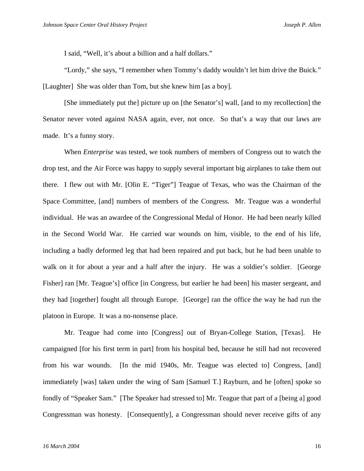I said, "Well, it's about a billion and a half dollars."

"Lordy," she says, "I remember when Tommy's daddy wouldn't let him drive the Buick." [Laughter] She was older than Tom, but she knew him [as a boy].

[She immediately put the] picture up on [the Senator's] wall, [and to my recollection] the Senator never voted against NASA again, ever, not once. So that's a way that our laws are made. It's a funny story.

When *Enterprise* was tested, we took numbers of members of Congress out to watch the drop test, and the Air Force was happy to supply several important big airplanes to take them out there. I flew out with Mr. [Olin E. "Tiger"] Teague of Texas, who was the Chairman of the Space Committee, [and] numbers of members of the Congress. Mr. Teague was a wonderful individual. He was an awardee of the Congressional Medal of Honor. He had been nearly killed in the Second World War. He carried war wounds on him, visible, to the end of his life, including a badly deformed leg that had been repaired and put back, but he had been unable to walk on it for about a year and a half after the injury. He was a soldier's soldier. [George Fisher] ran [Mr. Teague's] office [in Congress, but earlier he had been] his master sergeant, and they had [together] fought all through Europe. [George] ran the office the way he had run the platoon in Europe. It was a no-nonsense place.

Mr. Teague had come into [Congress] out of Bryan-College Station, [Texas]. He campaigned [for his first term in part] from his hospital bed, because he still had not recovered from his war wounds. [In the mid 1940s, Mr. Teague was elected to] Congress, [and] immediately [was] taken under the wing of Sam [Samuel T.] Rayburn, and he [often] spoke so fondly of "Speaker Sam." [The Speaker had stressed to] Mr. Teague that part of a [being a] good Congressman was honesty. [Consequently], a Congressman should never receive gifts of any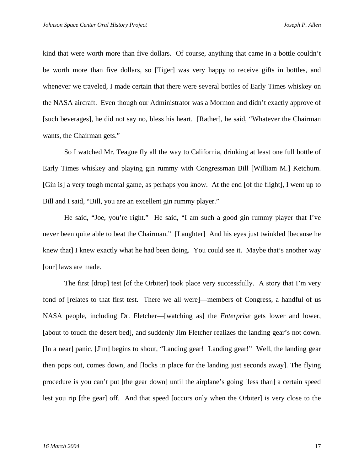kind that were worth more than five dollars. Of course, anything that came in a bottle couldn't be worth more than five dollars, so [Tiger] was very happy to receive gifts in bottles, and whenever we traveled, I made certain that there were several bottles of Early Times whiskey on the NASA aircraft. Even though our Administrator was a Mormon and didn't exactly approve of [such beverages], he did not say no, bless his heart. [Rather], he said, "Whatever the Chairman wants, the Chairman gets."

So I watched Mr. Teague fly all the way to California, drinking at least one full bottle of Early Times whiskey and playing gin rummy with Congressman Bill [William M.] Ketchum. [Gin is] a very tough mental game, as perhaps you know. At the end [of the flight], I went up to Bill and I said, "Bill, you are an excellent gin rummy player."

He said, "Joe, you're right." He said, "I am such a good gin rummy player that I've never been quite able to beat the Chairman." [Laughter] And his eyes just twinkled [because he knew that] I knew exactly what he had been doing. You could see it. Maybe that's another way [our] laws are made.

The first [drop] test [of the Orbiter] took place very successfully. A story that I'm very fond of [relates to that first test. There we all were]—members of Congress, a handful of us NASA people, including Dr. Fletcher—[watching as] the *Enterprise* gets lower and lower, [about to touch the desert bed], and suddenly Jim Fletcher realizes the landing gear's not down. [In a near] panic, [Jim] begins to shout, "Landing gear! Landing gear!" Well, the landing gear then pops out, comes down, and [locks in place for the landing just seconds away]. The flying procedure is you can't put [the gear down] until the airplane's going [less than] a certain speed lest you rip [the gear] off. And that speed [occurs only when the Orbiter] is very close to the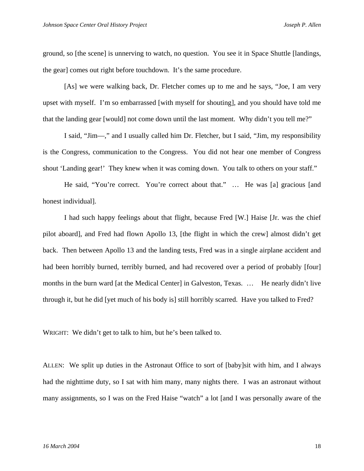ground, so [the scene] is unnerving to watch, no question. You see it in Space Shuttle [landings, the gear] comes out right before touchdown. It's the same procedure.

[As] we were walking back, Dr. Fletcher comes up to me and he says, "Joe, I am very upset with myself. I'm so embarrassed [with myself for shouting], and you should have told me that the landing gear [would] not come down until the last moment. Why didn't you tell me?"

I said, "Jim—," and I usually called him Dr. Fletcher, but I said, "Jim, my responsibility is the Congress, communication to the Congress. You did not hear one member of Congress shout 'Landing gear!' They knew when it was coming down. You talk to others on your staff."

He said, "You're correct. You're correct about that." ... He was [a] gracious [and honest individual].

I had such happy feelings about that flight, because Fred [W.] Haise [Jr. was the chief pilot aboard], and Fred had flown Apollo 13, [the flight in which the crew] almost didn't get back. Then between Apollo 13 and the landing tests, Fred was in a single airplane accident and had been horribly burned, terribly burned, and had recovered over a period of probably [four] months in the burn ward [at the Medical Center] in Galveston, Texas. ... He nearly didn't live through it, but he did [yet much of his body is] still horribly scarred. Have you talked to Fred?

WRIGHT: We didn't get to talk to him, but he's been talked to.

ALLEN: We split up duties in the Astronaut Office to sort of [baby]sit with him, and I always had the nighttime duty, so I sat with him many, many nights there. I was an astronaut without many assignments, so I was on the Fred Haise "watch" a lot [and I was personally aware of the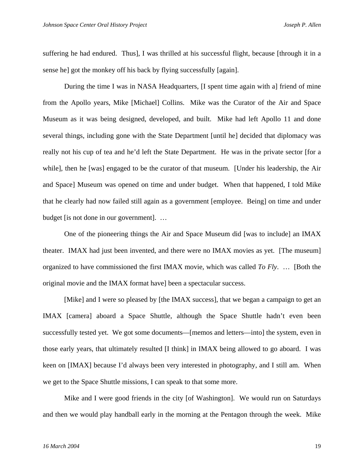suffering he had endured. Thus], I was thrilled at his successful flight, because [through it in a sense he] got the monkey off his back by flying successfully [again].

 During the time I was in NASA Headquarters, [I spent time again with a] friend of mine from the Apollo years, Mike [Michael] Collins. Mike was the Curator of the Air and Space Museum as it was being designed, developed, and built. Mike had left Apollo 11 and done several things, including gone with the State Department [until he] decided that diplomacy was really not his cup of tea and he'd left the State Department. He was in the private sector [for a while], then he [was] engaged to be the curator of that museum. [Under his leadership, the Air and Space] Museum was opened on time and under budget. When that happened, I told Mike that he clearly had now failed still again as a government [employee. Being] on time and under budget [is not done in our government]. …

 One of the pioneering things the Air and Space Museum did [was to include] an IMAX theater. IMAX had just been invented, and there were no IMAX movies as yet. [The museum] organized to have commissioned the first IMAX movie, which was called *To Fly*. … [Both the original movie and the IMAX format have] been a spectacular success.

[Mike] and I were so pleased by [the IMAX success], that we began a campaign to get an IMAX [camera] aboard a Space Shuttle, although the Space Shuttle hadn't even been successfully tested yet. We got some documents—[memos and letters—into] the system, even in those early years, that ultimately resulted [I think] in IMAX being allowed to go aboard. I was keen on [IMAX] because I'd always been very interested in photography, and I still am. When we get to the Space Shuttle missions, I can speak to that some more.

 Mike and I were good friends in the city [of Washington]. We would run on Saturdays and then we would play handball early in the morning at the Pentagon through the week. Mike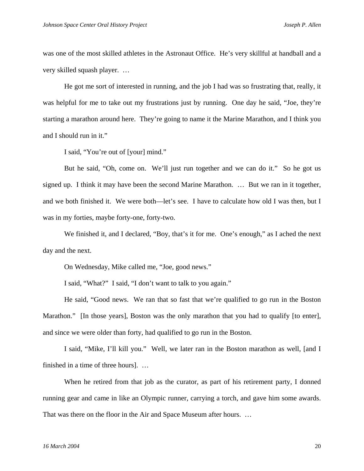was one of the most skilled athletes in the Astronaut Office. He's very skillful at handball and a very skilled squash player. …

 He got me sort of interested in running, and the job I had was so frustrating that, really, it was helpful for me to take out my frustrations just by running. One day he said, "Joe, they're starting a marathon around here. They're going to name it the Marine Marathon, and I think you and I should run in it."

I said, "You're out of [your] mind."

 But he said, "Oh, come on. We'll just run together and we can do it." So he got us signed up. I think it may have been the second Marine Marathon. … But we ran in it together, and we both finished it. We were both—let's see. I have to calculate how old I was then, but I was in my forties, maybe forty-one, forty-two.

We finished it, and I declared, "Boy, that's it for me. One's enough," as I ached the next day and the next.

On Wednesday, Mike called me, "Joe, good news."

I said, "What?" I said, "I don't want to talk to you again."

He said, "Good news. We ran that so fast that we're qualified to go run in the Boston Marathon." [In those years], Boston was the only marathon that you had to qualify [to enter], and since we were older than forty, had qualified to go run in the Boston.

I said, "Mike, I'll kill you." Well, we later ran in the Boston marathon as well, [and I finished in a time of three hours]. …

When he retired from that job as the curator, as part of his retirement party, I donned running gear and came in like an Olympic runner, carrying a torch, and gave him some awards. That was there on the floor in the Air and Space Museum after hours. …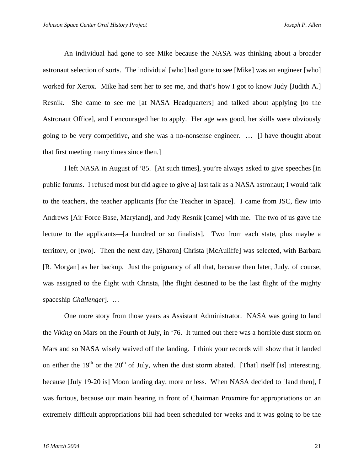An individual had gone to see Mike because the NASA was thinking about a broader astronaut selection of sorts. The individual [who] had gone to see [Mike] was an engineer [who] worked for Xerox. Mike had sent her to see me, and that's how I got to know Judy [Judith A.] Resnik. She came to see me [at NASA Headquarters] and talked about applying [to the Astronaut Office], and I encouraged her to apply. Her age was good, her skills were obviously going to be very competitive, and she was a no-nonsense engineer. … [I have thought about that first meeting many times since then.]

I left NASA in August of '85. [At such times], you're always asked to give speeches [in public forums. I refused most but did agree to give a] last talk as a NASA astronaut; I would talk to the teachers, the teacher applicants [for the Teacher in Space]. I came from JSC, flew into Andrews [Air Force Base, Maryland], and Judy Resnik [came] with me. The two of us gave the lecture to the applicants—[a hundred or so finalists]. Two from each state, plus maybe a territory, or [two]. Then the next day, [Sharon] Christa [McAuliffe] was selected, with Barbara [R. Morgan] as her backup. Just the poignancy of all that, because then later, Judy, of course, was assigned to the flight with Christa, [the flight destined to be the last flight of the mighty spaceship *Challenger*]. …

 One more story from those years as Assistant Administrator. NASA was going to land the *Viking* on Mars on the Fourth of July, in '76. It turned out there was a horrible dust storm on Mars and so NASA wisely waived off the landing. I think your records will show that it landed on either the 19<sup>th</sup> or the 20<sup>th</sup> of July, when the dust storm abated. [That] itself [is] interesting, because [July 19-20 is] Moon landing day, more or less. When NASA decided to [land then], I was furious, because our main hearing in front of Chairman Proxmire for appropriations on an extremely difficult appropriations bill had been scheduled for weeks and it was going to be the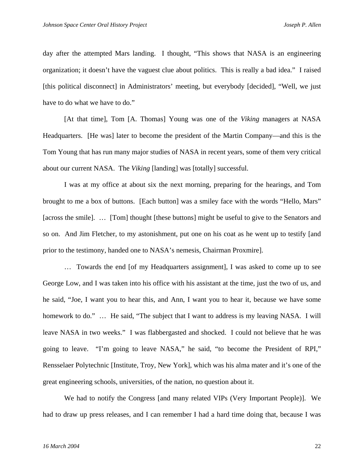day after the attempted Mars landing. I thought, "This shows that NASA is an engineering organization; it doesn't have the vaguest clue about politics. This is really a bad idea." I raised [this political disconnect] in Administrators' meeting, but everybody [decided], "Well, we just have to do what we have to do."

[At that time], Tom [A. Thomas] Young was one of the *Viking* managers at NASA Headquarters. [He was] later to become the president of the Martin Company—and this is the Tom Young that has run many major studies of NASA in recent years, some of them very critical about our current NASA. The *Viking* [landing] was [totally] successful.

I was at my office at about six the next morning, preparing for the hearings, and Tom brought to me a box of buttons. [Each button] was a smiley face with the words "Hello, Mars" [across the smile]. … [Tom] thought [these buttons] might be useful to give to the Senators and so on. And Jim Fletcher, to my astonishment, put one on his coat as he went up to testify [and prior to the testimony, handed one to NASA's nemesis, Chairman Proxmire].

… Towards the end [of my Headquarters assignment], I was asked to come up to see George Low, and I was taken into his office with his assistant at the time, just the two of us, and he said, "Joe, I want you to hear this, and Ann, I want you to hear it, because we have some homework to do." ... He said, "The subject that I want to address is my leaving NASA. I will leave NASA in two weeks." I was flabbergasted and shocked. I could not believe that he was going to leave. "I'm going to leave NASA," he said, "to become the President of RPI," Rensselaer Polytechnic [Institute, Troy, New York], which was his alma mater and it's one of the great engineering schools, universities, of the nation, no question about it.

We had to notify the Congress [and many related VIPs (Very Important People)]. We had to draw up press releases, and I can remember I had a hard time doing that, because I was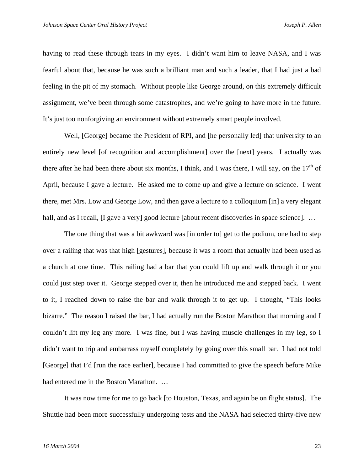having to read these through tears in my eyes. I didn't want him to leave NASA, and I was fearful about that, because he was such a brilliant man and such a leader, that I had just a bad feeling in the pit of my stomach. Without people like George around, on this extremely difficult assignment, we've been through some catastrophes, and we're going to have more in the future. It's just too nonforgiving an environment without extremely smart people involved.

Well, [George] became the President of RPI, and [he personally led] that university to an entirely new level [of recognition and accomplishment] over the [next] years. I actually was there after he had been there about six months, I think, and I was there, I will say, on the  $17<sup>th</sup>$  of April, because I gave a lecture. He asked me to come up and give a lecture on science. I went there, met Mrs. Low and George Low, and then gave a lecture to a colloquium [in] a very elegant hall, and as I recall, [I gave a very] good lecture [about recent discoveries in space science]. ...

The one thing that was a bit awkward was [in order to] get to the podium, one had to step over a railing that was that high [gestures], because it was a room that actually had been used as a church at one time. This railing had a bar that you could lift up and walk through it or you could just step over it. George stepped over it, then he introduced me and stepped back. I went to it, I reached down to raise the bar and walk through it to get up. I thought, "This looks bizarre." The reason I raised the bar, I had actually run the Boston Marathon that morning and I couldn't lift my leg any more. I was fine, but I was having muscle challenges in my leg, so I didn't want to trip and embarrass myself completely by going over this small bar. I had not told [George] that I'd [run the race earlier], because I had committed to give the speech before Mike had entered me in the Boston Marathon. …

It was now time for me to go back [to Houston, Texas, and again be on flight status]. The Shuttle had been more successfully undergoing tests and the NASA had selected thirty-five new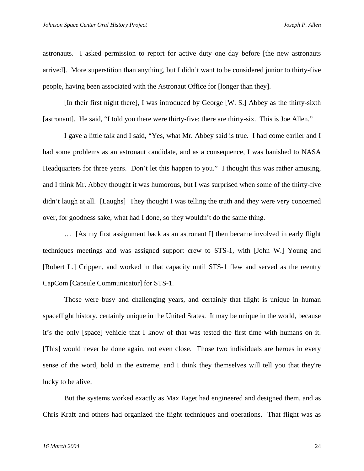astronauts. I asked permission to report for active duty one day before [the new astronauts arrived]. More superstition than anything, but I didn't want to be considered junior to thirty-five people, having been associated with the Astronaut Office for [longer than they].

[In their first night there], I was introduced by George [W. S.] Abbey as the thirty-sixth [astronaut]. He said, "I told you there were thirty-five; there are thirty-six. This is Joe Allen."

I gave a little talk and I said, "Yes, what Mr. Abbey said is true. I had come earlier and I had some problems as an astronaut candidate, and as a consequence, I was banished to NASA Headquarters for three years. Don't let this happen to you." I thought this was rather amusing, and I think Mr. Abbey thought it was humorous, but I was surprised when some of the thirty-five didn't laugh at all. [Laughs] They thought I was telling the truth and they were very concerned over, for goodness sake, what had I done, so they wouldn't do the same thing.

… [As my first assignment back as an astronaut I] then became involved in early flight techniques meetings and was assigned support crew to STS-1, with [John W.] Young and [Robert L.] Crippen, and worked in that capacity until STS-1 flew and served as the reentry CapCom [Capsule Communicator] for STS-1.

Those were busy and challenging years, and certainly that flight is unique in human spaceflight history, certainly unique in the United States. It may be unique in the world, because it's the only [space] vehicle that I know of that was tested the first time with humans on it. [This] would never be done again, not even close. Those two individuals are heroes in every sense of the word, bold in the extreme, and I think they themselves will tell you that they're lucky to be alive.

But the systems worked exactly as Max Faget had engineered and designed them, and as Chris Kraft and others had organized the flight techniques and operations. That flight was as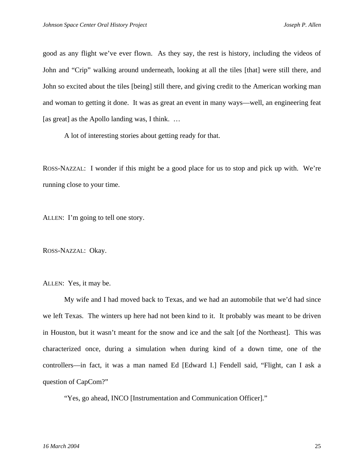good as any flight we've ever flown. As they say, the rest is history, including the videos of John and "Crip" walking around underneath, looking at all the tiles [that] were still there, and John so excited about the tiles [being] still there, and giving credit to the American working man and woman to getting it done. It was as great an event in many ways—well, an engineering feat [as great] as the Apollo landing was, I think. ...

A lot of interesting stories about getting ready for that.

ROSS-NAZZAL: I wonder if this might be a good place for us to stop and pick up with. We're running close to your time.

ALLEN: I'm going to tell one story.

ROSS-NAZZAL: Okay.

ALLEN: Yes, it may be.

My wife and I had moved back to Texas, and we had an automobile that we'd had since we left Texas. The winters up here had not been kind to it. It probably was meant to be driven in Houston, but it wasn't meant for the snow and ice and the salt [of the Northeast]. This was characterized once, during a simulation when during kind of a down time, one of the controllers—in fact, it was a man named Ed [Edward I.] Fendell said, "Flight, can I ask a question of CapCom?"

"Yes, go ahead, INCO [Instrumentation and Communication Officer]."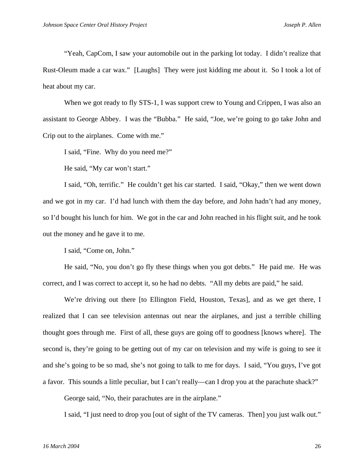"Yeah, CapCom, I saw your automobile out in the parking lot today. I didn't realize that Rust-Oleum made a car wax." [Laughs] They were just kidding me about it. So I took a lot of heat about my car.

When we got ready to fly STS-1, I was support crew to Young and Crippen, I was also an assistant to George Abbey. I was the "Bubba." He said, "Joe, we're going to go take John and Crip out to the airplanes. Come with me."

I said, "Fine. Why do you need me?"

He said, "My car won't start."

 I said, "Oh, terrific." He couldn't get his car started. I said, "Okay," then we went down and we got in my car. I'd had lunch with them the day before, and John hadn't had any money, so I'd bought his lunch for him. We got in the car and John reached in his flight suit, and he took out the money and he gave it to me.

I said, "Come on, John."

 He said, "No, you don't go fly these things when you got debts." He paid me. He was correct, and I was correct to accept it, so he had no debts. "All my debts are paid," he said.

We're driving out there [to Ellington Field, Houston, Texas], and as we get there, I realized that I can see television antennas out near the airplanes, and just a terrible chilling thought goes through me. First of all, these guys are going off to goodness [knows where]. The second is, they're going to be getting out of my car on television and my wife is going to see it and she's going to be so mad, she's not going to talk to me for days. I said, "You guys, I've got a favor. This sounds a little peculiar, but I can't really—can I drop you at the parachute shack?"

George said, "No, their parachutes are in the airplane."

I said, "I just need to drop you [out of sight of the TV cameras. Then] you just walk out."